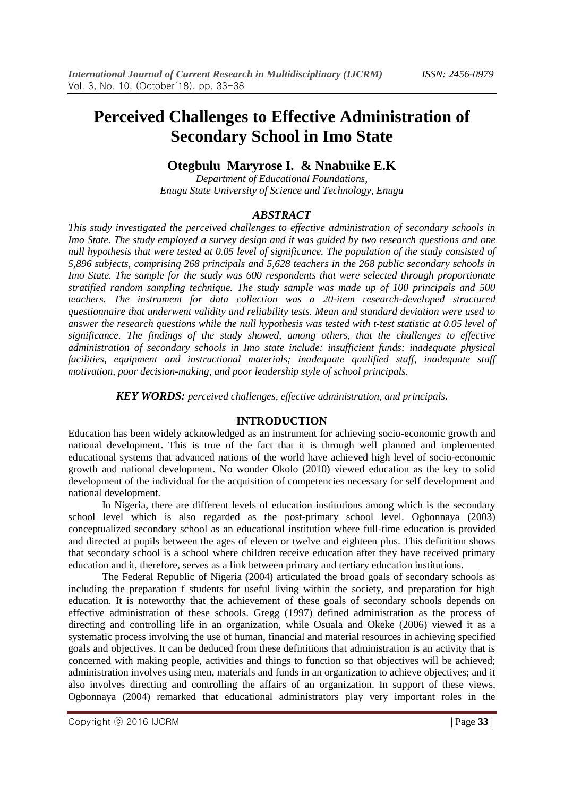# **Perceived Challenges to Effective Administration of Secondary School in Imo State**

## **Otegbulu Maryrose I. & Nnabuike E.K**

*Department of Educational Foundations, Enugu State University of Science and Technology, Enugu* 

#### *ABSTRACT*

*This study investigated the perceived challenges to effective administration of secondary schools in Imo State. The study employed a survey design and it was guided by two research questions and one null hypothesis that were tested at 0.05 level of significance. The population of the study consisted of 5,896 subjects, comprising 268 principals and 5,628 teachers in the 268 public secondary schools in Imo State. The sample for the study was 600 respondents that were selected through proportionate stratified random sampling technique. The study sample was made up of 100 principals and 500 teachers. The instrument for data collection was a 20-item research-developed structured questionnaire that underwent validity and reliability tests. Mean and standard deviation were used to answer the research questions while the null hypothesis was tested with t-test statistic at 0.05 level of significance. The findings of the study showed, among others, that the challenges to effective administration of secondary schools in Imo state include: insufficient funds; inadequate physical facilities, equipment and instructional materials; inadequate qualified staff, inadequate staff motivation, poor decision-making, and poor leadership style of school principals.* 

*KEY WORDS: perceived challenges, effective administration, and principals***.**

#### **INTRODUCTION**

Education has been widely acknowledged as an instrument for achieving socio-economic growth and national development. This is true of the fact that it is through well planned and implemented educational systems that advanced nations of the world have achieved high level of socio-economic growth and national development. No wonder Okolo (2010) viewed education as the key to solid development of the individual for the acquisition of competencies necessary for self development and national development.

In Nigeria, there are different levels of education institutions among which is the secondary school level which is also regarded as the post-primary school level. Ogbonnaya (2003) conceptualized secondary school as an educational institution where full-time education is provided and directed at pupils between the ages of eleven or twelve and eighteen plus. This definition shows that secondary school is a school where children receive education after they have received primary education and it, therefore, serves as a link between primary and tertiary education institutions.

The Federal Republic of Nigeria (2004) articulated the broad goals of secondary schools as including the preparation f students for useful living within the society, and preparation for high education. It is noteworthy that the achievement of these goals of secondary schools depends on effective administration of these schools. Gregg (1997) defined administration as the process of directing and controlling life in an organization, while Osuala and Okeke (2006) viewed it as a systematic process involving the use of human, financial and material resources in achieving specified goals and objectives. It can be deduced from these definitions that administration is an activity that is concerned with making people, activities and things to function so that objectives will be achieved; administration involves using men, materials and funds in an organization to achieve objectives; and it also involves directing and controlling the affairs of an organization. In support of these views, Ogbonnaya (2004) remarked that educational administrators play very important roles in the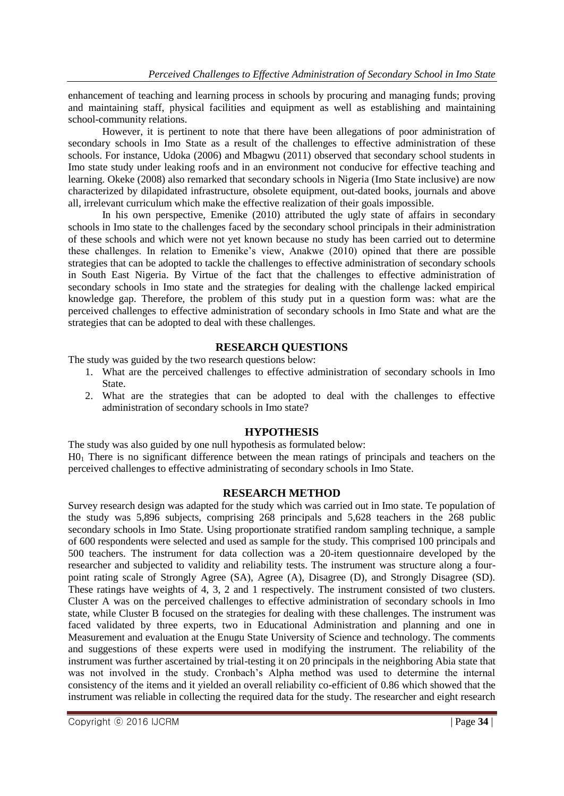enhancement of teaching and learning process in schools by procuring and managing funds; proving and maintaining staff, physical facilities and equipment as well as establishing and maintaining school-community relations.

However, it is pertinent to note that there have been allegations of poor administration of secondary schools in Imo State as a result of the challenges to effective administration of these schools. For instance, Udoka (2006) and Mbagwu (2011) observed that secondary school students in Imo state study under leaking roofs and in an environment not conducive for effective teaching and learning. Okeke (2008) also remarked that secondary schools in Nigeria (Imo State inclusive) are now characterized by dilapidated infrastructure, obsolete equipment, out-dated books, journals and above all, irrelevant curriculum which make the effective realization of their goals impossible.

In his own perspective, Emenike (2010) attributed the ugly state of affairs in secondary schools in Imo state to the challenges faced by the secondary school principals in their administration of these schools and which were not yet known because no study has been carried out to determine these challenges. In relation to Emenike's view, Anakwe (2010) opined that there are possible strategies that can be adopted to tackle the challenges to effective administration of secondary schools in South East Nigeria. By Virtue of the fact that the challenges to effective administration of secondary schools in Imo state and the strategies for dealing with the challenge lacked empirical knowledge gap. Therefore, the problem of this study put in a question form was: what are the perceived challenges to effective administration of secondary schools in Imo State and what are the strategies that can be adopted to deal with these challenges.

#### **RESEARCH QUESTIONS**

The study was guided by the two research questions below:

- 1. What are the perceived challenges to effective administration of secondary schools in Imo State.
- 2. What are the strategies that can be adopted to deal with the challenges to effective administration of secondary schools in Imo state?

## **HYPOTHESIS**

The study was also guided by one null hypothesis as formulated below:  $H_0$ . There is no significant difference between the mean ratings of principals and teachers on the perceived challenges to effective administrating of secondary schools in Imo State.

#### **RESEARCH METHOD**

Survey research design was adapted for the study which was carried out in Imo state. Te population of the study was 5,896 subjects, comprising 268 principals and 5,628 teachers in the 268 public secondary schools in Imo State. Using proportionate stratified random sampling technique, a sample of 600 respondents were selected and used as sample for the study. This comprised 100 principals and 500 teachers. The instrument for data collection was a 20-item questionnaire developed by the researcher and subjected to validity and reliability tests. The instrument was structure along a fourpoint rating scale of Strongly Agree (SA), Agree (A), Disagree (D), and Strongly Disagree (SD). These ratings have weights of 4, 3, 2 and 1 respectively. The instrument consisted of two clusters. Cluster A was on the perceived challenges to effective administration of secondary schools in Imo state, while Cluster B focused on the strategies for dealing with these challenges. The instrument was faced validated by three experts, two in Educational Administration and planning and one in Measurement and evaluation at the Enugu State University of Science and technology. The comments and suggestions of these experts were used in modifying the instrument. The reliability of the instrument was further ascertained by trial-testing it on 20 principals in the neighboring Abia state that was not involved in the study. Cronbach's Alpha method was used to determine the internal consistency of the items and it yielded an overall reliability co-efficient of 0.86 which showed that the instrument was reliable in collecting the required data for the study. The researcher and eight research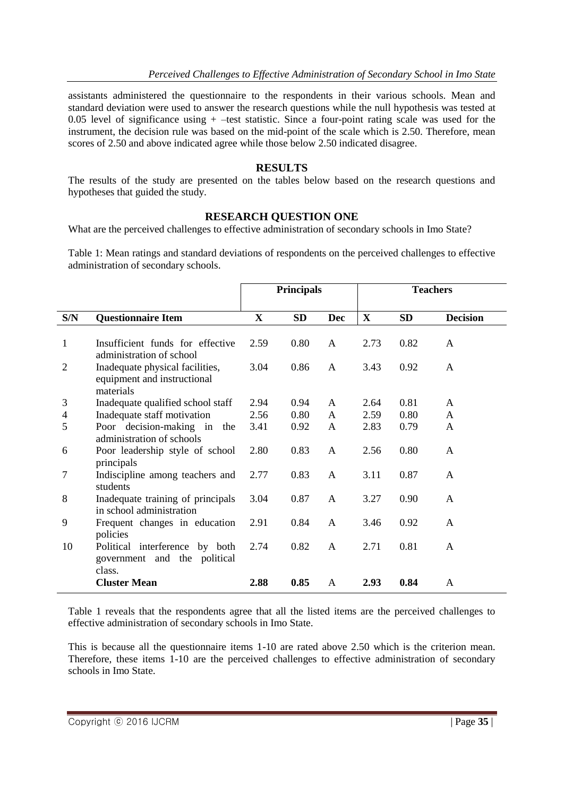assistants administered the questionnaire to the respondents in their various schools. Mean and standard deviation were used to answer the research questions while the null hypothesis was tested at 0.05 level of significance using  $+$  –test statistic. Since a four-point rating scale was used for the instrument, the decision rule was based on the mid-point of the scale which is 2.50. Therefore, mean scores of 2.50 and above indicated agree while those below 2.50 indicated disagree.

#### **RESULTS**

The results of the study are presented on the tables below based on the research questions and hypotheses that guided the study.

#### **RESEARCH QUESTION ONE**

What are the perceived challenges to effective administration of secondary schools in Imo State?

Table 1: Mean ratings and standard deviations of respondents on the perceived challenges to effective administration of secondary schools.

|                |                                                                             | <b>Principals</b> |           |              | <b>Teachers</b> |           |                 |
|----------------|-----------------------------------------------------------------------------|-------------------|-----------|--------------|-----------------|-----------|-----------------|
| S/N            | <b>Questionnaire Item</b>                                                   | $\mathbf{X}$      | <b>SD</b> | <b>Dec</b>   | $\mathbf{X}$    | <b>SD</b> | <b>Decision</b> |
| 1              | Insufficient funds for effective<br>administration of school                | 2.59              | 0.80      | $\mathsf{A}$ | 2.73            | 0.82      | A               |
| $\overline{2}$ | Inadequate physical facilities,<br>equipment and instructional<br>materials | 3.04              | 0.86      | $\mathsf{A}$ | 3.43            | 0.92      | A               |
| 3              | Inadequate qualified school staff                                           | 2.94              | 0.94      | $\mathsf{A}$ | 2.64            | 0.81      | A               |
| 4              | Inadequate staff motivation                                                 | 2.56              | 0.80      | $\mathsf{A}$ | 2.59            | 0.80      | A               |
| 5              | Poor decision-making in the<br>administration of schools                    | 3.41              | 0.92      | A            | 2.83            | 0.79      | $\mathsf{A}$    |
| 6              | Poor leadership style of school<br>principals                               | 2.80              | 0.83      | A            | 2.56            | 0.80      | A               |
| 7              | Indiscipline among teachers and<br>students                                 | 2.77              | 0.83      | $\mathsf{A}$ | 3.11            | 0.87      | A               |
| 8              | Inadequate training of principals<br>in school administration               | 3.04              | 0.87      | $\mathsf{A}$ | 3.27            | 0.90      | $\mathsf{A}$    |
| 9              | Frequent changes in education<br>policies                                   | 2.91              | 0.84      | A            | 3.46            | 0.92      | A               |
| 10             | Political interference by both<br>government and the political<br>class.    | 2.74              | 0.82      | $\mathsf{A}$ | 2.71            | 0.81      | A               |
|                | <b>Cluster Mean</b>                                                         | 2.88              | 0.85      | A            | 2.93            | 0.84      | A               |

Table 1 reveals that the respondents agree that all the listed items are the perceived challenges to effective administration of secondary schools in Imo State.

This is because all the questionnaire items 1-10 are rated above 2.50 which is the criterion mean. Therefore, these items 1-10 are the perceived challenges to effective administration of secondary schools in Imo State.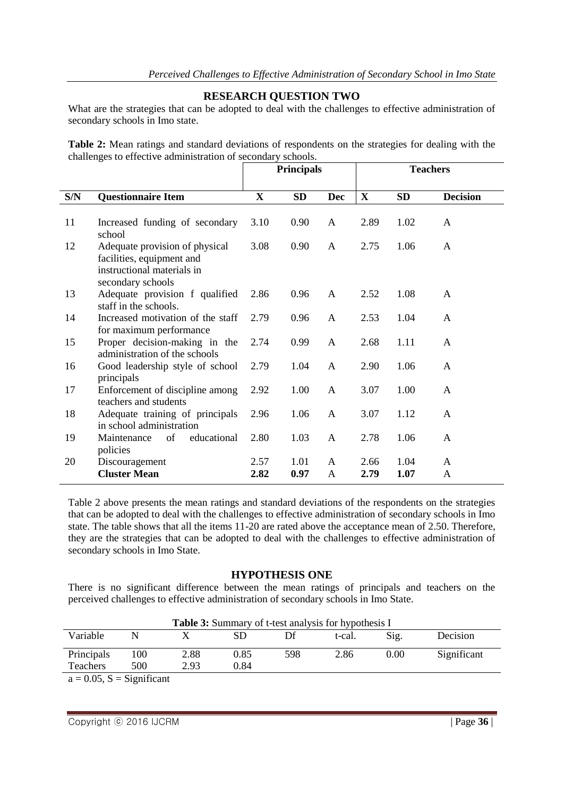#### **RESEARCH QUESTION TWO**

What are the strategies that can be adopted to deal with the challenges to effective administration of secondary schools in Imo state.

**Table 2:** Mean ratings and standard deviations of respondents on the strategies for dealing with the challenges to effective administration of secondary schools.

|     |                                                                                                                | <b>Principals</b> |           |              | <b>Teachers</b> |           |                 |
|-----|----------------------------------------------------------------------------------------------------------------|-------------------|-----------|--------------|-----------------|-----------|-----------------|
| S/N | <b>Questionnaire Item</b>                                                                                      | $\mathbf{X}$      | <b>SD</b> | <b>Dec</b>   | $\mathbf X$     | <b>SD</b> | <b>Decision</b> |
| 11  | Increased funding of secondary<br>school                                                                       | 3.10              | 0.90      | A            | 2.89            | 1.02      | A               |
| 12  | Adequate provision of physical<br>facilities, equipment and<br>instructional materials in<br>secondary schools | 3.08              | 0.90      | A            | 2.75            | 1.06      | A               |
| 13  | Adequate provision f qualified<br>staff in the schools.                                                        | 2.86              | 0.96      | A            | 2.52            | 1.08      | A               |
| 14  | Increased motivation of the staff<br>for maximum performance                                                   | 2.79              | 0.96      | A            | 2.53            | 1.04      | $\mathsf{A}$    |
| 15  | Proper decision-making in the<br>administration of the schools                                                 | 2.74              | 0.99      | A            | 2.68            | 1.11      | $\mathsf{A}$    |
| 16  | Good leadership style of school<br>principals                                                                  | 2.79              | 1.04      | A            | 2.90            | 1.06      | A               |
| 17  | Enforcement of discipline among<br>teachers and students                                                       | 2.92              | 1.00      | $\mathbf{A}$ | 3.07            | 1.00      | A               |
| 18  | Adequate training of principals<br>in school administration                                                    | 2.96              | 1.06      | A            | 3.07            | 1.12      | A               |
| 19  | of<br>educational<br>Maintenance<br>policies                                                                   | 2.80              | 1.03      | A            | 2.78            | 1.06      | $\mathsf{A}$    |
| 20  | Discouragement                                                                                                 | 2.57              | 1.01      | A            | 2.66            | 1.04      | A               |
|     | <b>Cluster Mean</b>                                                                                            | 2.82              | 0.97      | A            | 2.79            | 1.07      | A               |

Table 2 above presents the mean ratings and standard deviations of the respondents on the strategies that can be adopted to deal with the challenges to effective administration of secondary schools in Imo state. The table shows that all the items 11-20 are rated above the acceptance mean of 2.50. Therefore, they are the strategies that can be adopted to deal with the challenges to effective administration of secondary schools in Imo State.

#### **HYPOTHESIS ONE**

There is no significant difference between the mean ratings of principals and teachers on the perceived challenges to effective administration of secondary schools in Imo State.

| <b>Table 3:</b> Summary of t-test analysis for hypothesis I |     |      |      |     |        |      |             |  |  |
|-------------------------------------------------------------|-----|------|------|-----|--------|------|-------------|--|--|
| Variable                                                    | N   |      | SD   | Df  | t-cal. | Sig. | Decision    |  |  |
| Principals                                                  | 100 | 2.88 | 0.85 | 598 | 2.86   | 0.00 | Significant |  |  |
| <b>Teachers</b>                                             | 500 | 2.93 | 0.84 |     |        |      |             |  |  |
| $a = 0.05$ , $S =$ Significant                              |     |      |      |     |        |      |             |  |  |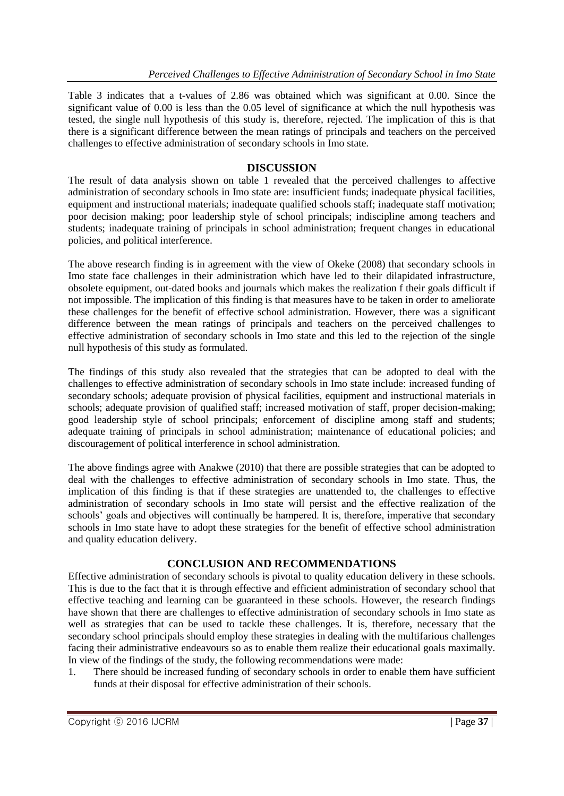Table 3 indicates that a t-values of 2.86 was obtained which was significant at 0.00. Since the significant value of 0.00 is less than the 0.05 level of significance at which the null hypothesis was tested, the single null hypothesis of this study is, therefore, rejected. The implication of this is that there is a significant difference between the mean ratings of principals and teachers on the perceived challenges to effective administration of secondary schools in Imo state.

#### **DISCUSSION**

The result of data analysis shown on table 1 revealed that the perceived challenges to affective administration of secondary schools in Imo state are: insufficient funds; inadequate physical facilities, equipment and instructional materials; inadequate qualified schools staff; inadequate staff motivation; poor decision making; poor leadership style of school principals; indiscipline among teachers and students; inadequate training of principals in school administration; frequent changes in educational policies, and political interference.

The above research finding is in agreement with the view of Okeke (2008) that secondary schools in Imo state face challenges in their administration which have led to their dilapidated infrastructure, obsolete equipment, out-dated books and journals which makes the realization f their goals difficult if not impossible. The implication of this finding is that measures have to be taken in order to ameliorate these challenges for the benefit of effective school administration. However, there was a significant difference between the mean ratings of principals and teachers on the perceived challenges to effective administration of secondary schools in Imo state and this led to the rejection of the single null hypothesis of this study as formulated.

The findings of this study also revealed that the strategies that can be adopted to deal with the challenges to effective administration of secondary schools in Imo state include: increased funding of secondary schools; adequate provision of physical facilities, equipment and instructional materials in schools; adequate provision of qualified staff; increased motivation of staff, proper decision-making; good leadership style of school principals; enforcement of discipline among staff and students; adequate training of principals in school administration; maintenance of educational policies; and discouragement of political interference in school administration.

The above findings agree with Anakwe (2010) that there are possible strategies that can be adopted to deal with the challenges to effective administration of secondary schools in Imo state. Thus, the implication of this finding is that if these strategies are unattended to, the challenges to effective administration of secondary schools in Imo state will persist and the effective realization of the schools' goals and objectives will continually be hampered. It is, therefore, imperative that secondary schools in Imo state have to adopt these strategies for the benefit of effective school administration and quality education delivery.

## **CONCLUSION AND RECOMMENDATIONS**

Effective administration of secondary schools is pivotal to quality education delivery in these schools. This is due to the fact that it is through effective and efficient administration of secondary school that effective teaching and learning can be guaranteed in these schools. However, the research findings have shown that there are challenges to effective administration of secondary schools in Imo state as well as strategies that can be used to tackle these challenges. It is, therefore, necessary that the secondary school principals should employ these strategies in dealing with the multifarious challenges facing their administrative endeavours so as to enable them realize their educational goals maximally. In view of the findings of the study, the following recommendations were made:

1. There should be increased funding of secondary schools in order to enable them have sufficient funds at their disposal for effective administration of their schools.